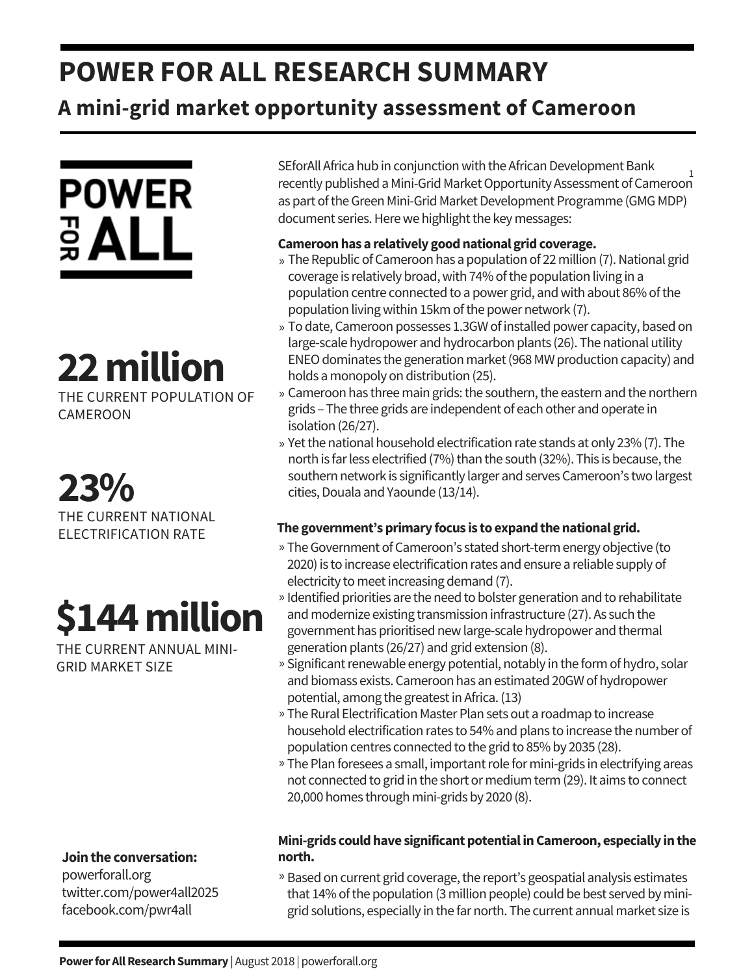## **POWER FOR ALL RESEARCH SUMMARY**

### **A mini-grid market opportunity assessment of Cameroon**



# **22million**

THE CURRENT POPULATION OF CAMEROON

**23%** THE CURRENT NATIONAL ELECTRIFICATION RATE

# **\$144million**

THE CURRENT ANNUAL MINI-GRID MARKET SIZE

#### **Jointhe conversation:**

powerforall.org twitter.com/power4all2025 facebook.com/pwr4all

SEforAll Africa hub in conjunction with the African Development Bank recently published aMini-GridMarketOpportunity Assessment ofCameroon 1as part of the Green Mini-Grid Market Development Programme (GMG MDP) document series. Here we highlight the key messages:

#### **Cameroonhas a relatively goodnational gridcoverage.**

- » The Republic of Cameroon has a population of 22 million (7). National grid coverage is relatively broad, with 74% of the population living in a population centre connected to a power grid, and with about 86% of the population living within 15km of the power network (7).
- » To date, Cameroon possesses 1.3GW of installed power capacity, based on large-scale hydropower and hydrocarbon plants (26). The national utility ENEO dominates the generation market (968 MW production capacity) and holds a monopoly on distribution (25).
- » Cameroon has three main grids: the southern, the eastern and the northern grids – The three grids are independent of each other and operate in isolation (26/27).
- » Yet the national household electrification rate stands at only 23% (7). The north is far less electrified (7%) than the south (32%). This is because, the southern network is significantly larger and serves Cameroon's two largest cities, Douala and Yaounde (13/14).

#### **The government'sprimary focus is to expandthenational grid.**

- » The Government of Cameroon's stated short-term energy objective (to 2020) is to increase electrification rates and ensure a reliable supply of electricity to meet increasing demand (7).
- » Identified priorities are the need to bolster generation and to rehabilitate and modernize existing transmission infrastructure (27). As such the government has prioritised newlarge-scale hydropower and thermal generation plants (26/27) and grid extension (8).
- » Significant renewable energy potential, notably in the form of hydro, solar and biomass exists. Cameroon has an estimated 20GW of hydropower potential, among the greatest in Africa. (13)
- » The Rural Electrification Master Plan sets out a roadmap to increase household electrification rates to 54% and plans to increase the number of population centres connected to the grid to 85% by 2035 (28).
- » The Plan foresees a small, important role for mini-grids in electrifying areas not connected to grid in the short or medium term (29). It aims to connect 20,000 homes through mini-grids by 2020 (8).

#### **Mini-grids couldhave significantpotentialinCameroon, especially inthe north.**

» Based on current grid coverage, the report's geospatial analysis estimates that 14% of the population (3 million people) could be best served by minigrid solutions, especially in the far north. The current annual market size is